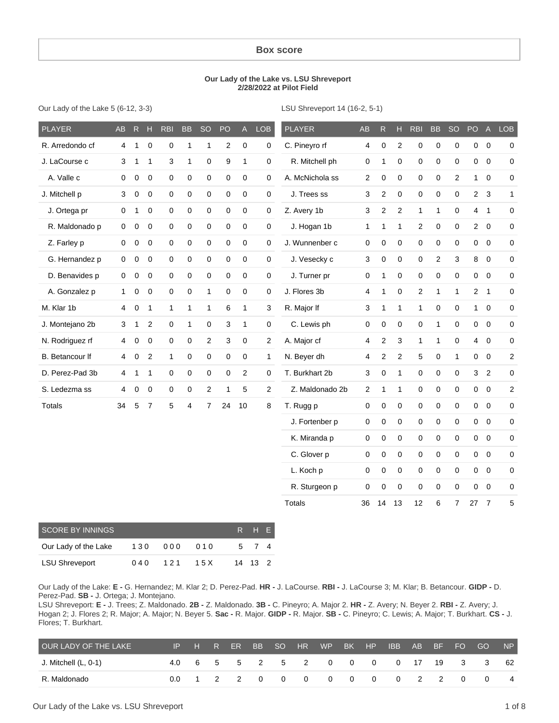#### **Box score**

#### **Our Lady of the Lake vs. LSU Shreveport 2/28/2022 at Pilot Field**

Our Lady of the Lake 5 (6-12, 3-3)

LSU Shreveport 14 (16-2, 5-1)

| <b>PLAYER</b>   | AB             | ${\sf R}$        | H                | <b>RBI</b>   | <b>BB</b>    | <b>SO</b>           | PO               | $\mathsf{A}$ | <b>LOB</b>       | <b>PLAYER</b>   | <b>AB</b>               | $\mathsf R$    | H              | <b>RBI</b>   | <b>BB</b>      | <b>SO</b>      | PO             | $\overline{A}$ | <b>LOB</b>       |
|-----------------|----------------|------------------|------------------|--------------|--------------|---------------------|------------------|--------------|------------------|-----------------|-------------------------|----------------|----------------|--------------|----------------|----------------|----------------|----------------|------------------|
| R. Arredondo cf | 4              | $\mathbf{1}$     | $\mathbf 0$      | $\mathbf 0$  | $\mathbf{1}$ | $\mathbf{1}$        | $\overline{c}$   | $\pmb{0}$    | 0                | C. Pineyro rf   | 4                       | 0              | $\overline{2}$ | $\pmb{0}$    | $\pmb{0}$      | $\pmb{0}$      | $\mathbf 0$    | $\overline{0}$ | 0                |
| J. LaCourse c   | 3              | $\mathbf{1}$     | $\mathbf{1}$     | 3            | $\mathbf{1}$ | 0                   | $\boldsymbol{9}$ | $\mathbf{1}$ | 0                | R. Mitchell ph  | 0                       | 1              | $\mathbf 0$    | $\pmb{0}$    | $\mathbf 0$    | $\mathbf 0$    | $\mathbf 0$    | $\overline{0}$ | 0                |
| A. Valle c      | 0              | 0                | $\mathbf 0$      | $\mathbf 0$  | $\pmb{0}$    | $\mathbf 0$         | $\pmb{0}$        | $\mathbf 0$  | $\boldsymbol{0}$ | A. McNichola ss | $\overline{\mathbf{c}}$ | 0              | $\mathbf 0$    | $\mathsf 0$  | $\mathbf 0$    | $\overline{2}$ | $\mathbf{1}$   | $\overline{0}$ | 0                |
| J. Mitchell p   | 3              | 0                | 0                | $\pmb{0}$    | 0            | $\mathsf 0$         | $\mathbf 0$      | $\mathbf 0$  | 0                | J. Trees ss     | 3                       | $\overline{c}$ | $\mathbf 0$    | $\mathsf 0$  | $\mathbf 0$    | $\mathbf 0$    | $\overline{2}$ | 3              | $\mathbf{1}$     |
| J. Ortega pr    | 0              | 1                | $\mathbf 0$      | $\mathbf 0$  | 0            | $\mathbf 0$         | $\mathbf 0$      | $\mathbf 0$  | $\boldsymbol{0}$ | Z. Avery 1b     | 3                       | $\overline{c}$ | 2              | $\mathbf{1}$ | $\mathbf{1}$   | $\mathbf 0$    | 4              | $\mathbf{1}$   | 0                |
| R. Maldonado p  | $\pmb{0}$      | $\boldsymbol{0}$ | $\mathbf 0$      | $\mathbf 0$  | $\pmb{0}$    | $\mathsf 0$         | $\mathbf 0$      | $\pmb{0}$    | 0                | J. Hogan 1b     | 1                       | $\mathbf{1}$   | 1              | $\mathbf{2}$ | $\pmb{0}$      | $\pmb{0}$      | $\overline{2}$ | $\overline{0}$ | $\mathsf 0$      |
| Z. Farley p     | $\mathbf 0$    | $\boldsymbol{0}$ | $\mathbf 0$      | $\pmb{0}$    | 0            | $\mathsf 0$         | $\mathbf 0$      | $\pmb{0}$    | 0                | J. Wunnenber c  | $\mathsf 0$             | 0              | $\pmb{0}$      | $\pmb{0}$    | $\pmb{0}$      | $\pmb{0}$      | $\mathbf 0$    | $\overline{0}$ | 0                |
| G. Hernandez p  | $\mathbf 0$    | 0                | $\mathbf 0$      | $\mathbf 0$  | 0            | $\mathsf{O}\xspace$ | $\mathsf 0$      | $\mathbf 0$  | 0                | J. Vesecky c    | 3                       | 0              | $\mathbf 0$    | $\mathsf 0$  | $\overline{2}$ | 3              | 8              | $\overline{0}$ | 0                |
| D. Benavides p  | $\mathbf 0$    | $\mathbf 0$      | $\mathbf 0$      | $\mathbf 0$  | 0            | $\mathbf 0$         | $\mathsf 0$      | $\mathbf 0$  | 0                | J. Turner pr    | 0                       | 1              | $\mathbf 0$    | $\mathsf 0$  | 0              | $\mathbf 0$    | $\mathbf{0}$   | $\overline{0}$ | 0                |
| A. Gonzalez p   | 1              | $\boldsymbol{0}$ | $\mathbf 0$      | $\pmb{0}$    | $\pmb{0}$    | $\mathbf{1}$        | $\mathbf 0$      | $\pmb{0}$    | 0                | J. Flores 3b    | $\overline{4}$          | 1              | $\mathbf 0$    | $\mathbf{2}$ | $\mathbf{1}$   | $\mathbf{1}$   | $\overline{2}$ | $\mathbf{1}$   | 0                |
| M. Klar 1b      | 4              | $\boldsymbol{0}$ | $\mathbf{1}$     | $\mathbf{1}$ | $\mathbf{1}$ | $\mathbf{1}$        | 6                | $\mathbf{1}$ | 3                | R. Major If     | 3                       | 1              | $\mathbf{1}$   | 1            | $\mathbf 0$    | 0              |                | $1 \quad 0$    | 0                |
| J. Montejano 2b | 3              | 1                | $\overline{2}$   | $\mathbf 0$  | $\mathbf{1}$ | 0                   | 3                | $\mathbf{1}$ | $\mathbf 0$      | C. Lewis ph     | $\mathbf 0$             | 0              | $\mathbf 0$    | 0            | $\mathbf{1}$   | $\mathbf 0$    | $\mathbf{0}$   | $\overline{0}$ | 0                |
| N. Rodriguez rf | 4              | 0                | 0                | $\mathbf 0$  | 0            | 2                   | 3                | 0            | 2                | A. Major cf     | 4                       | $\overline{c}$ | 3              | 1            | 1              | 0              | $\overline{4}$ | $\overline{0}$ | 0                |
| B. Betancour If | $\overline{4}$ | $\boldsymbol{0}$ | $\boldsymbol{2}$ | 1            | $\mathbf 0$  | 0                   | $\mathbf 0$      | $\mathbf 0$  | 1                | N. Beyer dh     | 4                       | $\overline{c}$ | $\overline{2}$ | 5            | 0              | 1              | $\mathbf 0$    | $\mathbf 0$    | $\boldsymbol{2}$ |
| D. Perez-Pad 3b | 4              | 1                | $\mathbf{1}$     | $\mathbf 0$  | 0            | 0                   | 0                | $\sqrt{2}$   | 0                | T. Burkhart 2b  | 3                       | 0              | 1              | 0            | 0              | $\pmb{0}$      | $\mathbf{3}$   | $\overline{c}$ | 0                |
| S. Ledezma ss   | 4              | $\mathbf 0$      | $\mathbf 0$      | $\mathbf 0$  | 0            | $\overline{2}$      | $\mathbf{1}$     | 5            | $\overline{2}$   | Z. Maldonado 2b | $\overline{c}$          | 1              | 1              | 0            | 0              | $\mathbf 0$    |                | $0\quad 0$     | $\overline{2}$   |
| <b>Totals</b>   | 34             | 5                | $\overline{7}$   | 5            | 4            | $\overline{7}$      | 24               | 10           | 8                | T. Rugg p       | $\mathbf 0$             | 0              | $\mathbf 0$    | $\pmb{0}$    | 0              | $\pmb{0}$      |                | $0\quad 0$     | 0                |
|                 |                |                  |                  |              |              |                     |                  |              |                  | J. Fortenber p  | $\mathbf 0$             | 0              | $\mathbf 0$    | $\mathbf 0$  | $\pmb{0}$      | $\pmb{0}$      |                | $0\quad 0$     | 0                |
|                 |                |                  |                  |              |              |                     |                  |              |                  | K. Miranda p    | 0                       | 0              | $\mathbf 0$    | $\pmb{0}$    | 0              | $\pmb{0}$      | $\overline{0}$ | $\mathbf 0$    | 0                |
|                 |                |                  |                  |              |              |                     |                  |              |                  | C. Glover p     | 0                       | 0              | $\mathbf 0$    | $\mathsf 0$  | $\mathbf 0$    | $\mathbf 0$    | $\mathbf{0}$   | $\overline{0}$ | 0                |
|                 |                |                  |                  |              |              |                     |                  |              |                  | L. Koch p       | $\mathbf 0$             | 0              | $\mathbf 0$    | $\mathsf 0$  | $\mathbf 0$    | $\mathbf 0$    | $\mathbf 0$    | $\overline{0}$ | 0                |
|                 |                |                  |                  |              |              |                     |                  |              |                  | R. Sturgeon p   | $\mathbf 0$             | $\mathbf 0$    | $\mathbf 0$    | $\pmb{0}$    | $\mathbf 0$    | $\pmb{0}$      | $\mathsf 0$    | $\mathbf 0$    | 0                |
|                 |                |                  |                  |              |              |                     |                  |              |                  | <b>Totals</b>   | 36                      | 14             | 13             | 12           | 6              | $\overline{7}$ | 27             | $\overline{7}$ | 5                |

| SCORE BY INNINGS.     |     |     |     | <b>ERET</b> | H E                   |  |
|-----------------------|-----|-----|-----|-------------|-----------------------|--|
| Our Lady of the Lake  | 130 | 000 | 010 | 5           |                       |  |
| <b>LSU Shreveport</b> | 040 | 121 | 15X |             | $14 \quad 13 \quad 2$ |  |

Our Lady of the Lake: **E -** G. Hernandez; M. Klar 2; D. Perez-Pad. **HR -** J. LaCourse. **RBI -** J. LaCourse 3; M. Klar; B. Betancour. **GIDP -** D. Perez-Pad. **SB -** J. Ortega; J. Montejano.

LSU Shreveport: **E -** J. Trees; Z. Maldonado. **2B -** Z. Maldonado. **3B -** C. Pineyro; A. Major 2. **HR -** Z. Avery; N. Beyer 2. **RBI -** Z. Avery; J. Hogan 2; J. Flores 2; R. Major; A. Major; N. Beyer 5. **Sac -** R. Major. **GIDP -** R. Major. **SB -** C. Pineyro; C. Lewis; A. Major; T. Burkhart. **CS -** J. Flores; T. Burkhart.

| OUR LADY OF THE LAKE |      | IP H R ER | BB. | SO.            | HR WP |                                             | BK HP | IBB <sup>1</sup>           |       | AB BF | - FO           | GO     | NP |
|----------------------|------|-----------|-----|----------------|-------|---------------------------------------------|-------|----------------------------|-------|-------|----------------|--------|----|
| J. Mitchell (L, 0-1) |      |           |     |                |       |                                             |       | 4.0 6 5 5 2 5 2 0 0 0 0 17 |       |       |                | 19 3 3 | 62 |
| R. Maldonado         | 00 1 | 2 2 0     |     | $\overline{0}$ |       | $\begin{matrix} 0 & 0 & 0 & 0 \end{matrix}$ |       |                            | 0 2 2 |       | $\overline{0}$ |        | 4  |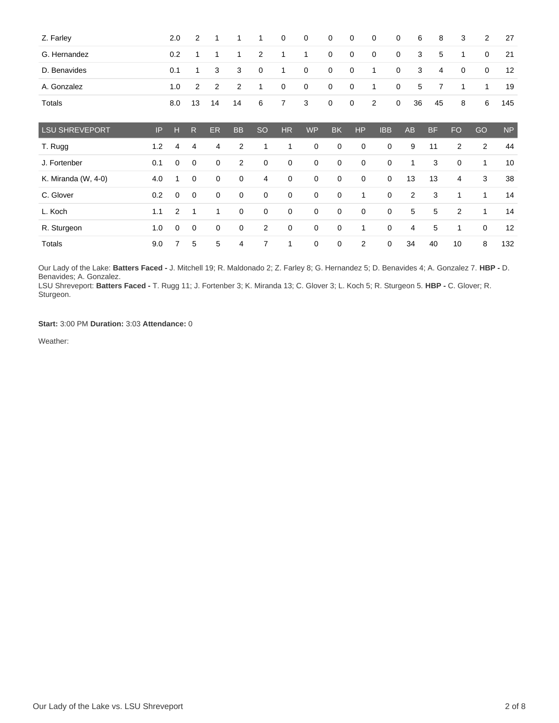| Z. Farley             |     | 2.0            | 2            | 1            | 1              | 1              | $\mathbf 0$ | $\mathbf 0$ | $\mathbf 0$ | $\mathbf 0$ | 0              | 0           | 6              | 8         | 3            | 2            | 27        |
|-----------------------|-----|----------------|--------------|--------------|----------------|----------------|-------------|-------------|-------------|-------------|----------------|-------------|----------------|-----------|--------------|--------------|-----------|
| G. Hernandez          |     | 0.2            | $\mathbf{1}$ | $\mathbf 1$  | 1              | 2              | 1           | 1           | $\mathbf 0$ | 0           | 0              | $\mathbf 0$ | 3              | 5         | $\mathbf{1}$ | 0            | 21        |
| D. Benavides          |     | 0.1            | $\mathbf{1}$ | 3            | 3              | 0              | 1           | $\mathbf 0$ | $\mathbf 0$ | 0           | $\mathbf{1}$   | $\mathbf 0$ | 3              | 4         | 0            | 0            | 12        |
| A. Gonzalez           |     | 1.0            | 2            | 2            | $\overline{2}$ | $\mathbf{1}$   | 0           | $\mathbf 0$ | $\mathbf 0$ | 0           | 1              | $\mathbf 0$ | 5              | 7         | 1            | 1            | 19        |
| Totals                |     | 8.0            | 13           | 14           | 14             | 6              | 7           | 3           | $\mathbf 0$ | $\mathbf 0$ | $\overline{c}$ | $\mathbf 0$ | 36             | 45        | 8            | 6            | 145       |
| <b>LSU SHREVEPORT</b> | IP  | н              | R            | <b>ER</b>    | <b>BB</b>      | <b>SO</b>      | <b>HR</b>   | <b>WP</b>   | <b>BK</b>   | <b>HP</b>   | <b>IBB</b>     |             | <b>AB</b>      | <b>BF</b> | <b>FO</b>    | GO           | <b>NP</b> |
| T. Rugg               | 1.2 | 4              | 4            | 4            | 2              | 1              | 1           | 0           | $\mathbf 0$ | $\mathbf 0$ | $\mathbf 0$    |             | 9              | 11        | 2            | $\mathbf{2}$ | 44        |
| J. Fortenber          | 0.1 | 0              | 0            | 0            | 2              | $\mathbf 0$    | $\mathbf 0$ | 0           | 0           | $\mathbf 0$ | $\mathbf 0$    |             | 1              | 3         | $\mathbf 0$  | 1            | 10        |
| K. Miranda (W, 4-0)   | 4.0 | 1              | $\mathbf 0$  | 0            | 0              | $\overline{4}$ | $\mathbf 0$ | 0           | 0           | $\mathbf 0$ | $\mathbf 0$    |             | 13             | 13        | 4            | 3            | 38        |
| C. Glover             | 0.2 | 0              | 0            | 0            | $\mathbf 0$    | $\mathbf 0$    | $\mathbf 0$ | $\mathbf 0$ | 0           | 1           | $\mathbf 0$    |             | $\overline{2}$ | 3         | 1            | 1            | 14        |
| L. Koch               | 1.1 | $\overline{2}$ | $\mathbf{1}$ | $\mathbf{1}$ | $\mathbf 0$    | $\mathbf 0$    | $\mathbf 0$ | $\mathbf 0$ | $\mathbf 0$ | $\mathbf 0$ | $\mathbf 0$    |             | 5              | 5         | 2            | $\mathbf{1}$ | 14        |
| R. Sturgeon           | 1.0 | 0              | $\mathbf 0$  | 0            | 0              | 2              | 0           | 0           | 0           | 1           | $\mathbf 0$    |             | 4              | 5         | 1            | $\mathbf 0$  | 12        |
| Totals                | 9.0 | 7              | 5            | 5            | $\overline{4}$ | $\overline{7}$ | 1           | $\mathbf 0$ | 0           | 2           | 0              |             | 34             | 40        | 10           | 8            | 132       |

Our Lady of the Lake: **Batters Faced -** J. Mitchell 19; R. Maldonado 2; Z. Farley 8; G. Hernandez 5; D. Benavides 4; A. Gonzalez 7. **HBP -** D. Benavides; A. Gonzalez.

LSU Shreveport: **Batters Faced -** T. Rugg 11; J. Fortenber 3; K. Miranda 13; C. Glover 3; L. Koch 5; R. Sturgeon 5. **HBP -** C. Glover; R. Sturgeon.

**Start:** 3:00 PM **Duration:** 3:03 **Attendance:** 0

Weather: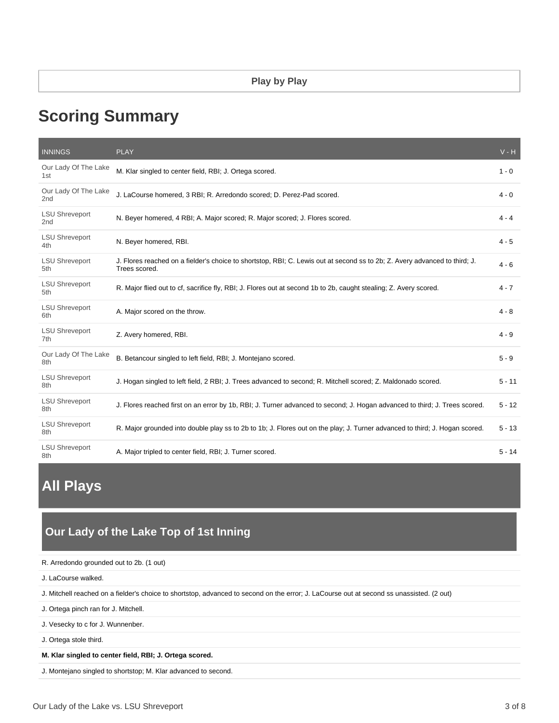# **Scoring Summary**

| <b>INNINGS</b>                           | <b>PLAY</b>                                                                                                                                 | $V - H$  |
|------------------------------------------|---------------------------------------------------------------------------------------------------------------------------------------------|----------|
| Our Lady Of The Lake<br>1st              | M. Klar singled to center field, RBI; J. Ortega scored.                                                                                     | $1 - 0$  |
| Our Lady Of The Lake<br>2nd              | J. LaCourse homered, 3 RBI; R. Arredondo scored; D. Perez-Pad scored.                                                                       | $4 - 0$  |
| <b>LSU Shreveport</b><br>2 <sub>nd</sub> | N. Beyer homered, 4 RBI; A. Major scored; R. Major scored; J. Flores scored.                                                                | $4 - 4$  |
| <b>LSU Shreveport</b><br>4th             | N. Beyer homered, RBI.                                                                                                                      | $4 - 5$  |
| <b>LSU Shreveport</b><br>5th             | J. Flores reached on a fielder's choice to shortstop, RBI; C. Lewis out at second ss to 2b; Z. Avery advanced to third; J.<br>Trees scored. | $4 - 6$  |
| <b>LSU Shreveport</b><br>5th.            | R. Major flied out to cf, sacrifice fly, RBI; J. Flores out at second 1b to 2b, caught stealing; Z. Avery scored.                           | $4 - 7$  |
| <b>LSU Shreveport</b><br>6th             | A. Major scored on the throw.                                                                                                               | $4 - 8$  |
| <b>LSU Shreveport</b><br>7th             | Z. Avery homered, RBI.                                                                                                                      | $4 - 9$  |
| Our Lady Of The Lake<br>8th              | B. Betancour singled to left field, RBI; J. Montejano scored.                                                                               | $5 - 9$  |
| <b>LSU Shreveport</b><br>8th             | J. Hogan singled to left field, 2 RBI; J. Trees advanced to second; R. Mitchell scored; Z. Maldonado scored.                                | $5 - 11$ |
| <b>LSU Shreveport</b><br>8th             | J. Flores reached first on an error by 1b, RBI; J. Turner advanced to second; J. Hogan advanced to third; J. Trees scored.                  | $5 - 12$ |
| <b>LSU Shreveport</b><br>8th             | R. Major grounded into double play ss to 2b to 1b; J. Flores out on the play; J. Turner advanced to third; J. Hogan scored.                 | $5 - 13$ |
| <b>LSU Shreveport</b><br>8th             | A. Major tripled to center field, RBI; J. Turner scored.                                                                                    | $5 - 14$ |

# **All Plays**

# **Our Lady of the Lake Top of 1st Inning**

| R. Arredondo grounded out to 2b. (1 out)                                                                                                  |
|-------------------------------------------------------------------------------------------------------------------------------------------|
| J. LaCourse walked.                                                                                                                       |
| J. Mitchell reached on a fielder's choice to shortstop, advanced to second on the error; J. LaCourse out at second ss unassisted. (2 out) |
| J. Ortega pinch ran for J. Mitchell.                                                                                                      |
| J. Vesecky to c for J. Wunnenber.                                                                                                         |
| J. Ortega stole third.                                                                                                                    |
| M. Klar singled to center field, RBI; J. Ortega scored.                                                                                   |
| J. Montejano singled to shortstop; M. Klar advanced to second.                                                                            |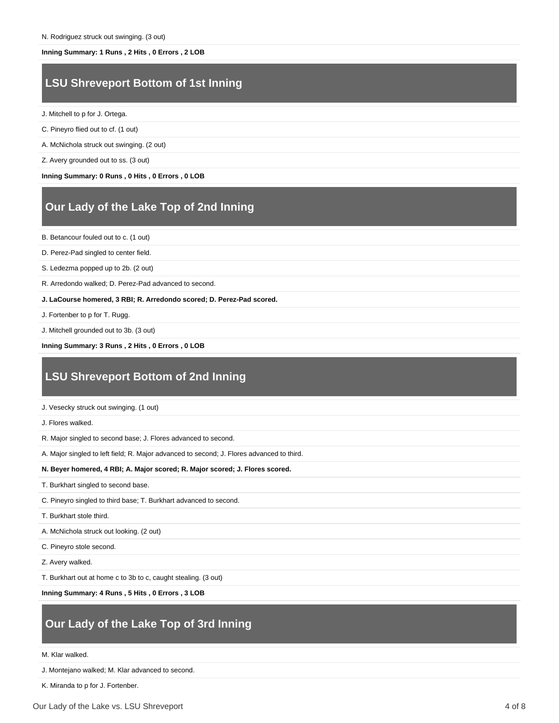#### **Inning Summary: 1 Runs , 2 Hits , 0 Errors , 2 LOB**

### **LSU Shreveport Bottom of 1st Inning**

- J. Mitchell to p for J. Ortega.
- C. Pineyro flied out to cf. (1 out)
- A. McNichola struck out swinging. (2 out)
- Z. Avery grounded out to ss. (3 out)

**Inning Summary: 0 Runs , 0 Hits , 0 Errors , 0 LOB**

### **Our Lady of the Lake Top of 2nd Inning**

- B. Betancour fouled out to c. (1 out)
- D. Perez-Pad singled to center field.
- S. Ledezma popped up to 2b. (2 out)
- R. Arredondo walked; D. Perez-Pad advanced to second.
- **J. LaCourse homered, 3 RBI; R. Arredondo scored; D. Perez-Pad scored.**
- J. Fortenber to p for T. Rugg.
- J. Mitchell grounded out to 3b. (3 out)

**Inning Summary: 3 Runs , 2 Hits , 0 Errors , 0 LOB**

# **LSU Shreveport Bottom of 2nd Inning**

- J. Vesecky struck out swinging. (1 out)
- J. Flores walked.
- R. Major singled to second base; J. Flores advanced to second.
- A. Major singled to left field; R. Major advanced to second; J. Flores advanced to third.

**N. Beyer homered, 4 RBI; A. Major scored; R. Major scored; J. Flores scored.**

- T. Burkhart singled to second base.
- C. Pineyro singled to third base; T. Burkhart advanced to second.
- T. Burkhart stole third.
- A. McNichola struck out looking. (2 out)
- C. Pineyro stole second.
- Z. Avery walked.
- T. Burkhart out at home c to 3b to c, caught stealing. (3 out)

**Inning Summary: 4 Runs , 5 Hits , 0 Errors , 3 LOB**

# **Our Lady of the Lake Top of 3rd Inning**

- M. Klar walked.
- J. Montejano walked; M. Klar advanced to second.
- K. Miranda to p for J. Fortenber.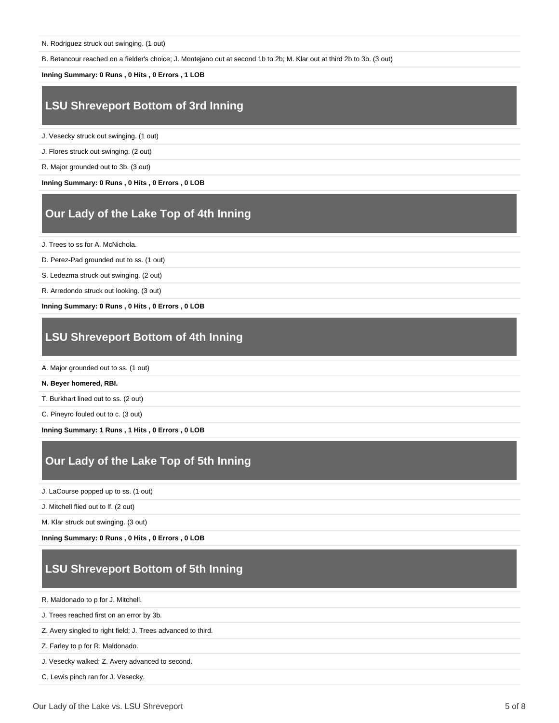B. Betancour reached on a fielder's choice; J. Montejano out at second 1b to 2b; M. Klar out at third 2b to 3b. (3 out)

#### **Inning Summary: 0 Runs , 0 Hits , 0 Errors , 1 LOB**

# **LSU Shreveport Bottom of 3rd Inning**

J. Vesecky struck out swinging. (1 out)

J. Flores struck out swinging. (2 out)

R. Major grounded out to 3b. (3 out)

**Inning Summary: 0 Runs , 0 Hits , 0 Errors , 0 LOB**

# **Our Lady of the Lake Top of 4th Inning**

J. Trees to ss for A. McNichola.

D. Perez-Pad grounded out to ss. (1 out)

S. Ledezma struck out swinging. (2 out)

R. Arredondo struck out looking. (3 out)

**Inning Summary: 0 Runs , 0 Hits , 0 Errors , 0 LOB**

# **LSU Shreveport Bottom of 4th Inning**

A. Major grounded out to ss. (1 out)

#### **N. Beyer homered, RBI.**

T. Burkhart lined out to ss. (2 out)

C. Pineyro fouled out to c. (3 out)

**Inning Summary: 1 Runs , 1 Hits , 0 Errors , 0 LOB**

# **Our Lady of the Lake Top of 5th Inning**

J. LaCourse popped up to ss. (1 out)

J. Mitchell flied out to lf. (2 out)

M. Klar struck out swinging. (3 out)

**Inning Summary: 0 Runs , 0 Hits , 0 Errors , 0 LOB**

# **LSU Shreveport Bottom of 5th Inning**

R. Maldonado to p for J. Mitchell.

J. Trees reached first on an error by 3b.

Z. Avery singled to right field; J. Trees advanced to third.

Z. Farley to p for R. Maldonado.

J. Vesecky walked; Z. Avery advanced to second.

C. Lewis pinch ran for J. Vesecky.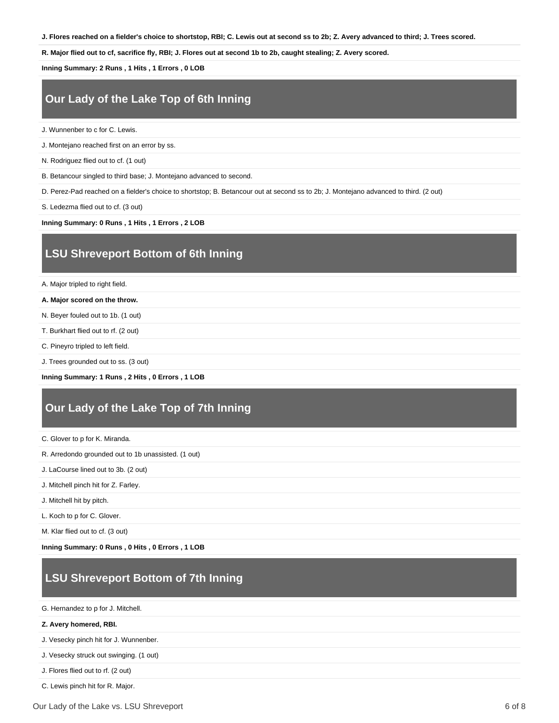**J. Flores reached on a fielder's choice to shortstop, RBI; C. Lewis out at second ss to 2b; Z. Avery advanced to third; J. Trees scored.**

**R. Major flied out to cf, sacrifice fly, RBI; J. Flores out at second 1b to 2b, caught stealing; Z. Avery scored.**

**Inning Summary: 2 Runs , 1 Hits , 1 Errors , 0 LOB**

# **Our Lady of the Lake Top of 6th Inning**

J. Wunnenber to c for C. Lewis.

J. Montejano reached first on an error by ss.

N. Rodriguez flied out to cf. (1 out)

B. Betancour singled to third base; J. Montejano advanced to second.

D. Perez-Pad reached on a fielder's choice to shortstop; B. Betancour out at second ss to 2b; J. Montejano advanced to third. (2 out)

S. Ledezma flied out to cf. (3 out)

**Inning Summary: 0 Runs , 1 Hits , 1 Errors , 2 LOB**

#### **LSU Shreveport Bottom of 6th Inning**

A. Major tripled to right field.

**A. Major scored on the throw.**

N. Beyer fouled out to 1b. (1 out)

T. Burkhart flied out to rf. (2 out)

C. Pineyro tripled to left field.

J. Trees grounded out to ss. (3 out)

**Inning Summary: 1 Runs , 2 Hits , 0 Errors , 1 LOB**

### **Our Lady of the Lake Top of 7th Inning**

C. Glover to p for K. Miranda.

R. Arredondo grounded out to 1b unassisted. (1 out)

J. LaCourse lined out to 3b. (2 out)

J. Mitchell pinch hit for Z. Farley.

J. Mitchell hit by pitch.

L. Koch to p for C. Glover.

M. Klar flied out to cf. (3 out)

**Inning Summary: 0 Runs , 0 Hits , 0 Errors , 1 LOB**

### **LSU Shreveport Bottom of 7th Inning**

G. Hernandez to p for J. Mitchell.

#### **Z. Avery homered, RBI.**

J. Vesecky pinch hit for J. Wunnenber.

J. Vesecky struck out swinging. (1 out)

J. Flores flied out to rf. (2 out)

C. Lewis pinch hit for R. Major.

Our Lady of the Lake vs. LSU Shreveport 6 of 8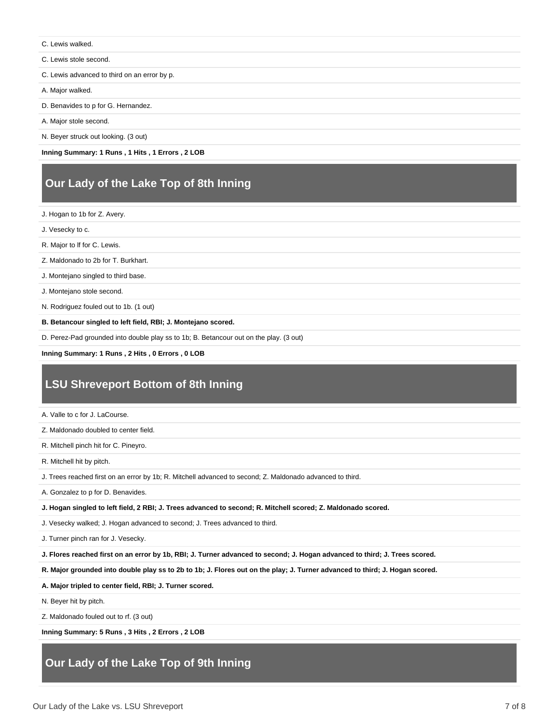- C. Lewis walked.
- C. Lewis stole second.
- C. Lewis advanced to third on an error by p.

A. Major walked.

- D. Benavides to p for G. Hernandez.
- A. Major stole second.

N. Beyer struck out looking. (3 out)

**Inning Summary: 1 Runs , 1 Hits , 1 Errors , 2 LOB**

# **Our Lady of the Lake Top of 8th Inning**

J. Hogan to 1b for Z. Avery.

J. Vesecky to c.

R. Major to lf for C. Lewis.

Z. Maldonado to 2b for T. Burkhart.

J. Montejano singled to third base.

J. Montejano stole second.

N. Rodriguez fouled out to 1b. (1 out)

**B. Betancour singled to left field, RBI; J. Montejano scored.**

D. Perez-Pad grounded into double play ss to 1b; B. Betancour out on the play. (3 out)

**Inning Summary: 1 Runs , 2 Hits , 0 Errors , 0 LOB**

# **LSU Shreveport Bottom of 8th Inning**

A. Valle to c for J. LaCourse.

Z. Maldonado doubled to center field.

R. Mitchell pinch hit for C. Pineyro.

R. Mitchell hit by pitch.

J. Trees reached first on an error by 1b; R. Mitchell advanced to second; Z. Maldonado advanced to third.

A. Gonzalez to p for D. Benavides.

**J. Hogan singled to left field, 2 RBI; J. Trees advanced to second; R. Mitchell scored; Z. Maldonado scored.**

J. Vesecky walked; J. Hogan advanced to second; J. Trees advanced to third.

J. Turner pinch ran for J. Vesecky.

**J. Flores reached first on an error by 1b, RBI; J. Turner advanced to second; J. Hogan advanced to third; J. Trees scored.**

**R. Major grounded into double play ss to 2b to 1b; J. Flores out on the play; J. Turner advanced to third; J. Hogan scored.**

**A. Major tripled to center field, RBI; J. Turner scored.**

N. Beyer hit by pitch.

Z. Maldonado fouled out to rf. (3 out)

**Inning Summary: 5 Runs , 3 Hits , 2 Errors , 2 LOB**

# **Our Lady of the Lake Top of 9th Inning**